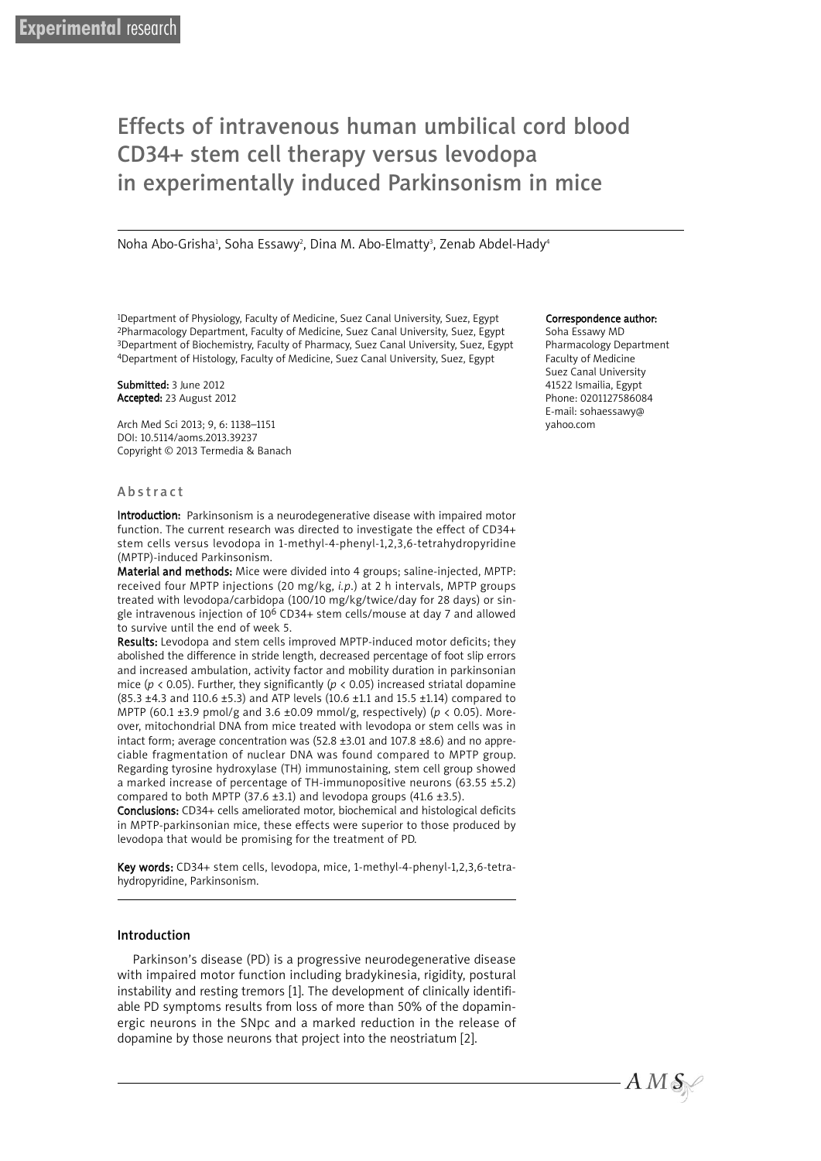# Effects of intravenous human umbilical cord blood CD34+ stem cell therapy versus levodopa in experimentally induced Parkinsonism in mice

Noha Abo-Grisha<sup>1</sup>, Soha Essawy<sup>2</sup>, Dina M. Abo-Elmatty<sup>3</sup>, Zenab Abdel-Hady<sup>4</sup>

1Department of Physiology, Faculty of Medicine, Suez Canal University, Suez, Egypt 2Pharmacology Department, Faculty of Medicine, Suez Canal University, Suez, Egypt 3Department of Biochemistry, Faculty of Pharmacy, Suez Canal University, Suez, Egypt 4Department of Histology, Faculty of Medicine, Suez Canal University, Suez, Egypt

#### Submitted: 3 June 2012 Accepted: 23 August 2012

Arch Med Sci 2013; 9, 6: 1138–1151 DOI: 10.5114/aoms.2013.39237 Copyright © 2013 Termedia & Banach

#### **Abstract**

Introduction: Parkinsonism is a neurodegenerative disease with impaired motor function. The current research was directed to investigate the effect of CD34+ stem cells versus levodopa in 1-methyl-4-phenyl-1,2,3,6-tetrahydropyridine (MPTP)-induced Parkinsonism.

Material and methods: Mice were divided into 4 groups; saline-injected, MPTP: received four MPTP injections (20 mg/kg, *i.p*.) at 2 h intervals, MPTP groups treated with levodopa/carbidopa (100/10 mg/kg/twice/day for 28 days) or single intravenous injection of 106 CD34+ stem cells/mouse at day 7 and allowed to survive until the end of week 5.

Results: Levodopa and stem cells improved MPTP-induced motor deficits; they abolished the difference in stride length, decreased percentage of foot slip errors and increased ambulation, activity factor and mobility duration in parkinsonian mice ( $p$  < 0.05). Further, they significantly ( $p$  < 0.05) increased striatal dopamine (85.3 ±4.3 and 110.6 ±5.3) and ATP levels (10.6 ±1.1 and 15.5 ±1.14) compared to MPTP (60.1 ±3.9 pmol/g and 3.6 ±0.09 mmol/g, respectively) (*p* < 0.05). Moreover, mitochondrial DNA from mice treated with levodopa or stem cells was in intact form; average concentration was (52.8 ±3.01 and 107.8 ±8.6) and no appreciable fragmentation of nuclear DNA was found compared to MPTP group. Regarding tyrosine hydroxylase (TH) immunostaining, stem cell group showed a marked increase of percentage of TH-immunopositive neurons (63.55 ±5.2) compared to both MPTP (37.6  $\pm$ 3.1) and levodopa groups (41.6  $\pm$ 3.5).

Conclusions: CD34+ cells ameliorated motor, biochemical and histological deficits in MPTP-parkinsonian mice, these effects were superior to those produced by levodopa that would be promising for the treatment of PD.

Key words: CD34+ stem cells, levodopa, mice, 1-methyl-4-phenyl-1,2,3,6-tetrahydropyridine, Parkinsonism.

#### Introduction

Parkinson's disease (PD) is a progressive neurodegenerative disease with impaired motor function including bradykinesia, rigidity, postural instability and resting tremors [1]. The development of clinically identifiable PD symptoms results from loss of more than 50% of the dopaminergic neurons in the SNpc and a marked reduction in the release of dopamine by those neurons that project into the neostriatum [2].

#### Correspondence author:

Soha Essawy MD Pharmacology Department Faculty of Medicine Suez Canal University 41522 Ismailia, Egypt Phone: 0201127586084 E-mail: sohaessawy@ yahoo.com

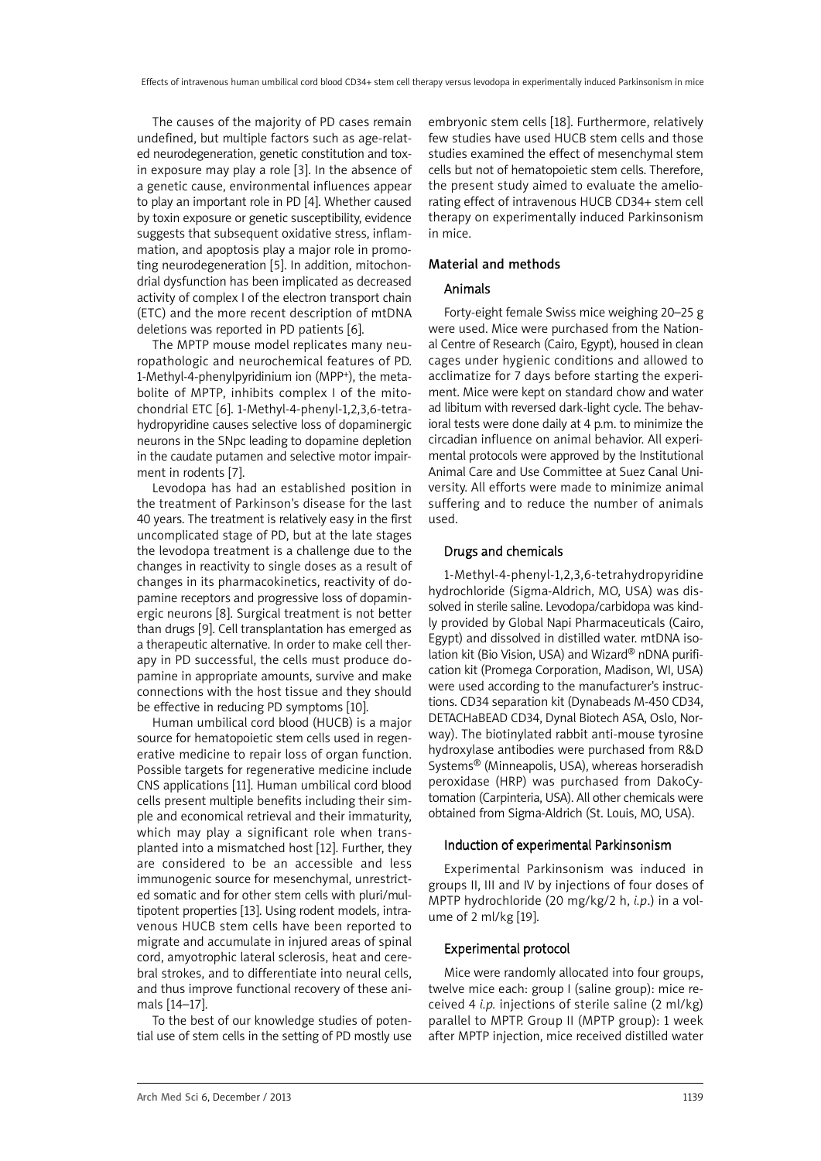The causes of the majority of PD cases remain undefined, but multiple factors such as age-related neurodegeneration, genetic constitution and toxin exposure may play a role [3]. In the absence of a genetic cause, environmental influences appear to play an important role in PD [4]. Whether caused by toxin exposure or genetic susceptibility, evidence suggests that subsequent oxidative stress, inflammation, and apoptosis play a major role in promoting neurodegeneration [5]. In addition, mitochondrial dysfunction has been implicated as decreased activity of complex I of the electron transport chain (ETC) and the more recent description of mtDNA deletions was reported in PD patients [6].

The MPTP mouse model replicates many neuropathologic and neurochemical features of PD. 1-Methyl-4-phenylpyridinium ion (MPP+), the metabolite of MPTP, inhibits complex I of the mitochondrial ETC [6]. 1-Methyl-4-phenyl-1,2,3,6-tetrahydropyridine causes selective loss of dopaminergic neurons in the SNpc leading to dopamine depletion in the caudate putamen and selective motor impairment in rodents [7].

Levodopa has had an established position in the treatment of Parkinson's disease for the last 40 years. The treatment is relatively easy in the first uncomplicated stage of PD, but at the late stages the levodopa treatment is a challenge due to the changes in reactivity to single doses as a result of changes in its pharmacokinetics, reactivity of dopamine receptors and progressive loss of dopaminergic neurons [8]. Surgical treatment is not better than drugs [9]. Cell transplantation has emerged as a therapeutic alternative. In order to make cell therapy in PD successful, the cells must produce dopamine in appropriate amounts, survive and make connections with the host tissue and they should be effective in reducing PD symptoms [10].

Human umbilical cord blood (HUCB) is a major source for hematopoietic stem cells used in regenerative medicine to repair loss of organ function. Possible targets for regenerative medicine include CNS applications [11]. Human umbilical cord blood cells present multiple benefits including their simple and economical retrieval and their immaturity, which may play a significant role when transplanted into a mismatched host [12]. Further, they are considered to be an accessible and less immunogenic source for mesenchymal, unrestricted somatic and for other stem cells with pluri/multipotent properties [13]. Using rodent models, intravenous HUCB stem cells have been reported to migrate and accumulate in injured areas of spinal cord, amyotrophic lateral sclerosis, heat and cerebral strokes, and to differentiate into neural cells, and thus improve functional recovery of these animals [14–17].

To the best of our knowledge studies of potential use of stem cells in the setting of PD mostly use embryonic stem cells [18]. Furthermore, relatively few studies have used HUCB stem cells and those studies examined the effect of mesenchymal stem cells but not of hematopoietic stem cells. Therefore, the present study aimed to evaluate the ameliorating effect of intravenous HUCB CD34+ stem cell therapy on experimentally induced Parkinsonism in mice.

# Material and methods

## Animals

Forty-eight female Swiss mice weighing 20–25 g were used. Mice were purchased from the National Centre of Research (Cairo, Egypt), housed in clean cages under hygienic conditions and allowed to acclimatize for 7 days before starting the experiment. Mice were kept on standard chow and water ad libitum with reversed dark-light cycle. The behavioral tests were done daily at 4 p.m. to minimize the circadian influence on animal behavior. All experimental protocols were approved by the Institutional Animal Care and Use Committee at Suez Canal University. All efforts were made to minimize animal suffering and to reduce the number of animals used.

#### Drugs and chemicals

1-Methyl-4-phenyl-1,2,3,6-tetrahydropyridine hydrochloride (Sigma-Aldrich, MO, USA) was dissolved in sterile saline. Levodopa/carbidopa was kindly provided by Global Napi Pharmaceuticals (Cairo, Egypt) and dissolved in distilled water. mtDNA isolation kit (Bio Vision, USA) and Wizard® nDNA purification kit (Promega Corporation, Madison, WI, USA) were used according to the manufacturer's instructions. CD34 separation kit (Dynabeads M-450 CD34, DETACHaBEAD CD34, Dynal Biotech ASA, Oslo, Norway). The biotinylated rabbit anti-mouse tyrosine hydroxylase antibodies were purchased from R&D Systems® (Minneapolis, USA), whereas horseradish peroxidase (HRP) was purchased from DakoCytomation (Carpinteria, USA). All other chemicals were obtained from Sigma-Aldrich (St. Louis, MO, USA).

## Induction of experimental Parkinsonism

Experimental Parkinsonism was induced in groups II, III and IV by injections of four doses of MPTP hydrochloride (20 mg/kg/2 h, *i.p*.) in a volume of 2 ml/kg [19].

## Experimental protocol

Mice were randomly allocated into four groups, twelve mice each: group I (saline group): mice received 4 *i.p.* injections of sterile saline (2 ml/kg) parallel to MPTP. Group II (MPTP group): 1 week after MPTP injection, mice received distilled water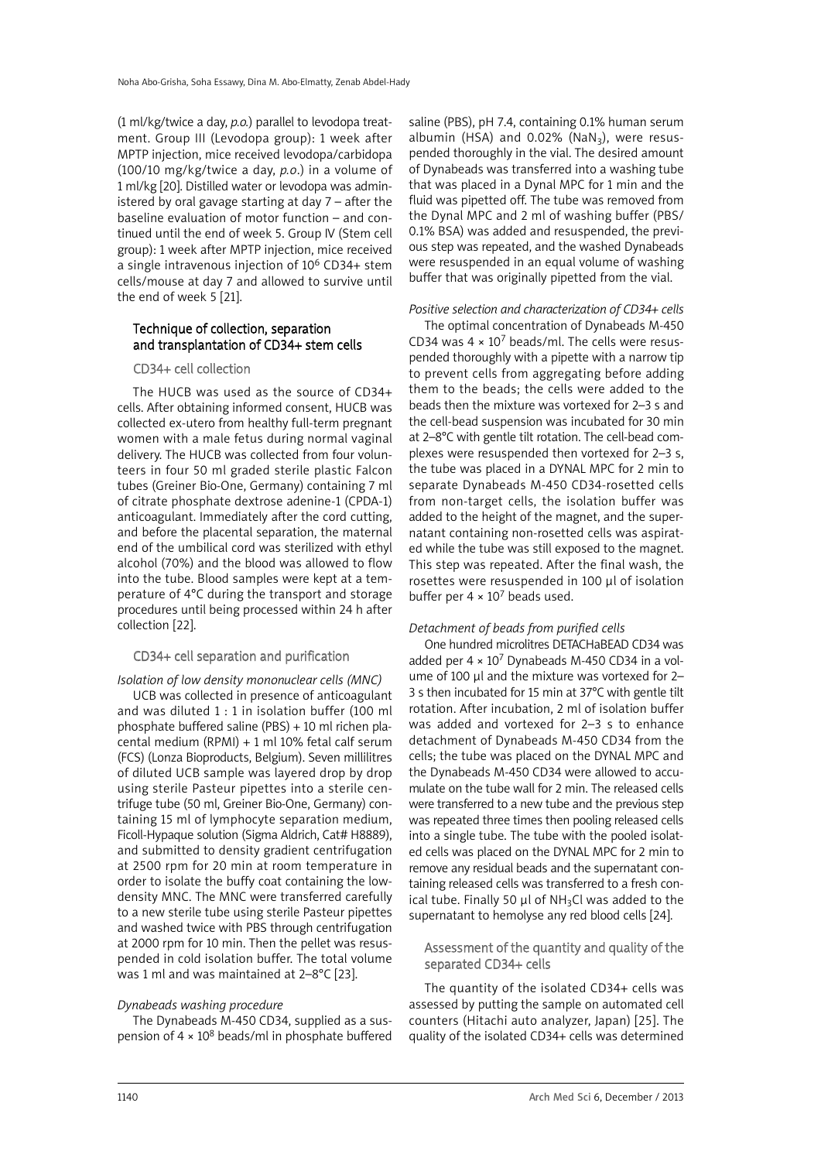(1 ml/kg/twice a day, *p.o.*) parallel to levodopa treatment. Group III (Levodopa group): 1 week after MPTP injection, mice received levodopa/carbidopa (100/10 mg/kg/twice a day, *p.o*.) in a volume of 1 ml/kg [20]. Distilled water or levodopa was administered by oral gavage starting at day 7 – after the baseline evaluation of motor function – and continued until the end of week 5. Group IV (Stem cell group): 1 week after MPTP injection, mice received a single intravenous injection of 10<sup>6</sup> CD34+ stem cells/mouse at day 7 and allowed to survive until the end of week 5 [21].

## Technique of collection, separation and transplantation of CD34+ stem cells

#### CD34+ cell collection

The HUCB was used as the source of CD34+ cells. After obtaining informed consent, HUCB was collected ex-utero from healthy full-term pregnant women with a male fetus during normal vaginal delivery. The HUCB was collected from four volunteers in four 50 ml graded sterile plastic Falcon tubes (Greiner Bio-One, Germany) containing 7 ml of citrate phosphate dextrose adenine-1 (CPDA-1) anticoagulant. Immediately after the cord cutting, and before the placental separation, the maternal end of the umbilical cord was sterilized with ethyl alcohol (70%) and the blood was allowed to flow into the tube. Blood samples were kept at a temperature of 4°C during the transport and storage procedures until being processed within 24 h after collection [22].

#### CD34+ cell separation and purification

*Isolation of low density mononuclear cells (MNC)*

UCB was collected in presence of anticoagulant and was diluted 1 : 1 in isolation buffer (100 ml phosphate buffered saline (PBS) + 10 ml richen placental medium (RPMI) + 1 ml 10% fetal calf serum (FCS) (Lonza Bioproducts, Belgium). Seven millilitres of diluted UCB sample was layered drop by drop using sterile Pasteur pipettes into a sterile centrifuge tube (50 ml, Greiner Bio-One, Germany) containing 15 ml of lymphocyte separation medium, Ficoll-Hypaque solution (Sigma Aldrich, Cat# H8889), and submitted to density gradient centrifugation at 2500 rpm for 20 min at room temperature in order to isolate the buffy coat containing the lowdensity MNC. The MNC were transferred carefully to a new sterile tube using sterile Pasteur pipettes and washed twice with PBS through centrifugation at 2000 rpm for 10 min. Then the pellet was resuspended in cold isolation buffer. The total volume was 1 ml and was maintained at 2–8°C [23].

#### *Dynabeads washing procedure*

The Dynabeads M-450 CD34, supplied as a suspension of  $4 \times 10^8$  beads/ml in phosphate buffered

saline (PBS), pH 7.4, containing 0.1% human serum albumin (HSA) and  $0.02\%$  (NaN<sub>3</sub>), were resuspended thoroughly in the vial. The desired amount of Dynabeads was transferred into a washing tube that was placed in a Dynal MPC for 1 min and the fluid was pipetted off. The tube was removed from the Dynal MPC and 2 ml of washing buffer (PBS/ 0.1% BSA) was added and resuspended, the previous step was repeated, and the washed Dynabeads were resuspended in an equal volume of washing buffer that was originally pipetted from the vial.

#### *Positive selection and characterization of CD34+ cells*

The optimal concentration of Dynabeads M-450 CD34 was  $4 \times 10^7$  beads/ml. The cells were resuspended thoroughly with a pipette with a narrow tip to prevent cells from aggregating before adding them to the beads; the cells were added to the beads then the mixture was vortexed for 2–3 s and the cell-bead suspension was incubated for 30 min at 2–8°C with gentle tilt rotation. The cell-bead complexes were resuspended then vortexed for 2–3 s, the tube was placed in a DYNAL MPC for 2 min to separate Dynabeads M-450 CD34-rosetted cells from non-target cells, the isolation buffer was added to the height of the magnet, and the supernatant containing non-rosetted cells was aspirated while the tube was still exposed to the magnet. This step was repeated. After the final wash, the rosettes were resuspended in 100 µl of isolation buffer per  $4 \times 10^7$  beads used.

#### *Detachment of beads from purified cells*

One hundred microlitres DETACHaBEAD CD34 was added per  $4 \times 10^7$  Dynabeads M-450 CD34 in a volume of 100 µl and the mixture was vortexed for 2-3 s then incubated for 15 min at 37°C with gentle tilt rotation. After incubation, 2 ml of isolation buffer was added and vortexed for 2–3 s to enhance detachment of Dynabeads M-450 CD34 from the cells; the tube was placed on the DYNAL MPC and the Dynabeads M-450 CD34 were allowed to accumulate on the tube wall for 2 min. The released cells were transferred to a new tube and the previous step was repeated three times then pooling released cells into a single tube. The tube with the pooled isolated cells was placed on the DYNAL MPC for 2 min to remove any residual beads and the supernatant containing released cells was transferred to a fresh conical tube. Finally 50  $\mu$ l of NH<sub>3</sub>Cl was added to the supernatant to hemolyse any red blood cells [24].

#### Assessment of the quantity and quality of the separated CD34+ cells

The quantity of the isolated CD34+ cells was assessed by putting the sample on automated cell counters (Hitachi auto analyzer, Japan) [25]. The quality of the isolated CD34+ cells was determined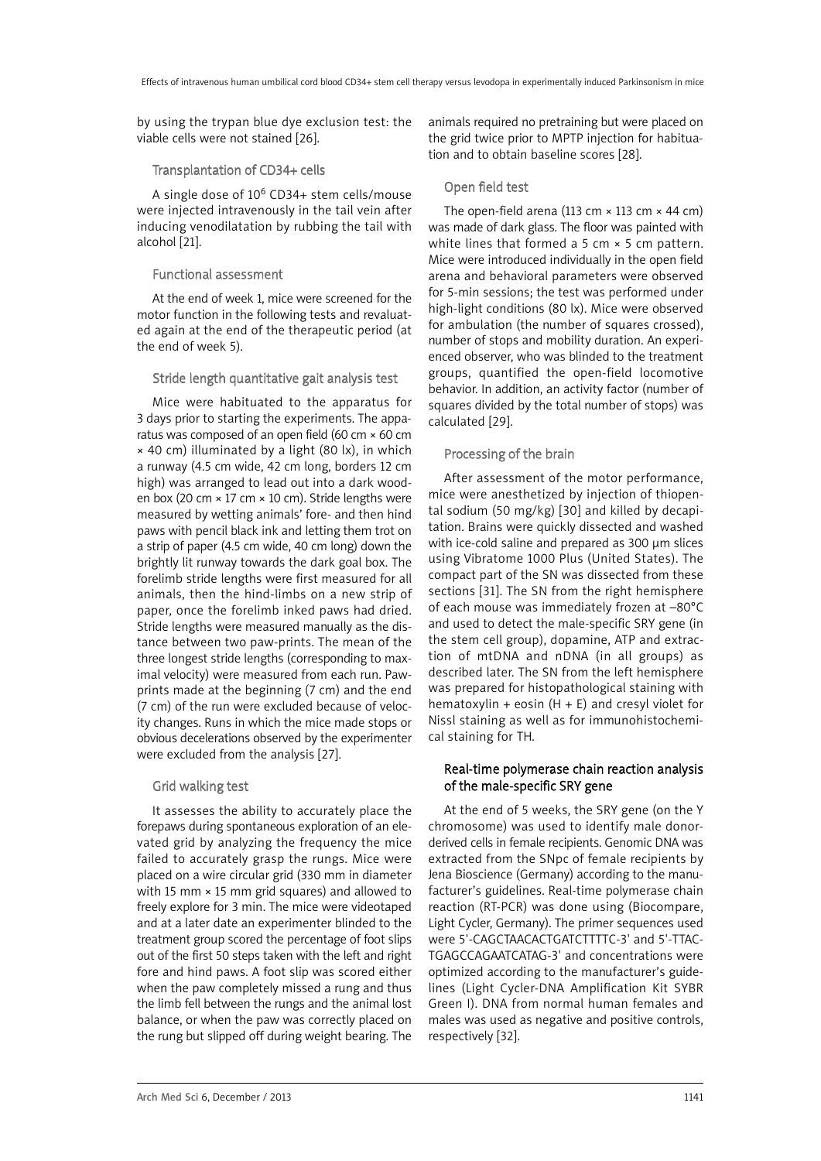by using the trypan blue dye exclusion test: the viable cells were not stained [26].

#### Transplantation of CD34+ cells

A single dose of 10<sup>6</sup> CD34+ stem cells/mouse were injected intravenously in the tail vein after inducing venodilatation by rubbing the tail with alcohol [21].

#### Functional assessment

At the end of week 1, mice were screened for the motor function in the following tests and revaluated again at the end of the therapeutic period (at the end of week 5).

## Stride length quantitative gait analysis test

Mice were habituated to the apparatus for 3 days prior to starting the experiments. The apparatus was composed of an open field (60 cm × 60 cm × 40 cm) illuminated by a light (80 lx), in which a runway (4.5 cm wide, 42 cm long, borders 12 cm high) was arranged to lead out into a dark wooden box (20 cm × 17 cm × 10 cm). Stride lengths were measured by wetting animals' fore- and then hind paws with pencil black ink and letting them trot on a strip of paper (4.5 cm wide, 40 cm long) down the brightly lit runway towards the dark goal box. The forelimb stride lengths were first measured for all animals, then the hind-limbs on a new strip of paper, once the forelimb inked paws had dried. Stride lengths were measured manually as the distance between two paw-prints. The mean of the three longest stride lengths (corresponding to maximal velocity) were measured from each run. Pawprints made at the beginning (7 cm) and the end (7 cm) of the run were excluded because of velocity changes. Runs in which the mice made stops or obvious decelerations observed by the experimenter were excluded from the analysis [27].

## Grid walking test

It assesses the ability to accurately place the forepaws during spontaneous exploration of an elevated grid by analyzing the frequency the mice failed to accurately grasp the rungs. Mice were placed on a wire circular grid (330 mm in diameter with 15 mm  $\times$  15 mm grid squares) and allowed to freely explore for 3 min. The mice were videotaped and at a later date an experimenter blinded to the treatment group scored the percentage of foot slips out of the first 50 steps taken with the left and right fore and hind paws. A foot slip was scored either when the paw completely missed a rung and thus the limb fell between the rungs and the animal lost balance, or when the paw was correctly placed on the rung but slipped off during weight bearing. The animals required no pretraining but were placed on the grid twice prior to MPTP injection for habituation and to obtain baseline scores [28].

## Open field test

The open-field arena (113 cm  $\times$  113 cm  $\times$  44 cm) was made of dark glass. The floor was painted with white lines that formed a 5 cm  $\times$  5 cm pattern. Mice were introduced individually in the open field arena and behavioral parameters were observed for 5-min sessions; the test was performed under high-light conditions (80 lx). Mice were observed for ambulation (the number of squares crossed), number of stops and mobility duration. An experienced observer, who was blinded to the treatment groups, quantified the open-field locomotive behavior. In addition, an activity factor (number of squares divided by the total number of stops) was calculated [29].

## Processing of the brain

After assessment of the motor performance, mice were anesthetized by injection of thiopental sodium (50 mg/kg) [30] and killed by decapitation. Brains were quickly dissected and washed with ice-cold saline and prepared as 300 µm slices using Vibratome 1000 Plus (United States). The compact part of the SN was dissected from these sections [31]. The SN from the right hemisphere of each mouse was immediately frozen at –80°C and used to detect the male-specific SRY gene (in the stem cell group), dopamine, ATP and extraction of mtDNA and nDNA (in all groups) as described later. The SN from the left hemisphere was prepared for histopathological staining with hematoxylin + eosin  $(H + E)$  and cresyl violet for Nissl staining as well as for immunohistochemical staining for TH.

## Real-time polymerase chain reaction analysis of the male-specific SRY gene

At the end of 5 weeks, the SRY gene (on the Y chromosome) was used to identify male donorderived cells in female recipients. Genomic DNA was extracted from the SNpc of female recipients by Jena Bioscience (Germany) according to the manufacturer's guidelines. Real-time polymerase chain reaction (RT-PCR) was done using (Biocompare, Light Cycler, Germany). The primer sequences used were 5'-CAGCTAACACTGATCTTTTC-3' and 5'-TTAC-TGAGCCAGAATCATAG-3' and concentrations were optimized according to the manufacturer's guidelines (Light Cycler-DNA Amplification Kit SYBR Green I). DNA from normal human females and males was used as negative and positive controls, respectively [32].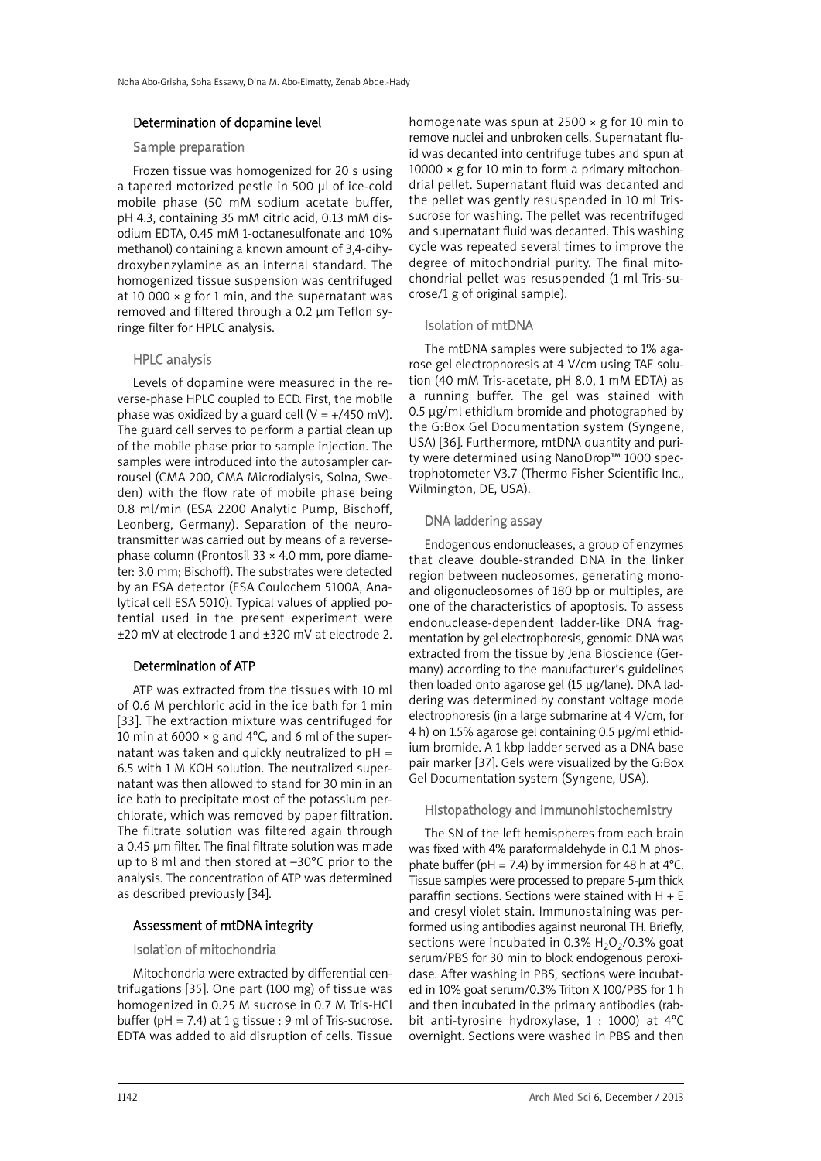#### Determination of dopamine level

#### Sample preparation

Frozen tissue was homogenized for 20 s using a tapered motorized pestle in 500 µl of ice-cold mobile phase (50 mM sodium acetate buffer, pH 4.3, containing 35 mM citric acid, 0.13 mM disodium EDTA, 0.45 mM 1-octanesulfonate and 10% methanol) containing a known amount of 3,4-dihydroxybenzylamine as an internal standard. The homogenized tissue suspension was centrifuged at 10 000  $\times$  g for 1 min, and the supernatant was removed and filtered through a 0.2 µm Teflon syringe filter for HPLC analysis.

## HPLC analysis

Levels of dopamine were measured in the reverse-phase HPLC coupled to ECD. First, the mobile phase was oxidized by a guard cell  $(V = +/450$  mV). The guard cell serves to perform a partial clean up of the mobile phase prior to sample injection. The samples were introduced into the autosampler carrousel (CMA 200, CMA Microdialysis, Solna, Sweden) with the flow rate of mobile phase being 0.8 ml/min (ESA 2200 Analytic Pump, Bischoff, Leonberg, Germany). Separation of the neurotransmitter was carried out by means of a reversephase column (Prontosil 33 × 4.0 mm, pore diameter: 3.0 mm; Bischoff). The substrates were detected by an ESA detector (ESA Coulochem 5100A, Analytical cell ESA 5010). Typical values of applied potential used in the present experiment were ±20 mV at electrode 1 and ±320 mV at electrode 2.

## Determination of ATP

ATP was extracted from the tissues with 10 ml of 0.6 M perchloric acid in the ice bath for 1 min [33]. The extraction mixture was centrifuged for 10 min at 6000  $\times$  g and 4°C, and 6 ml of the supernatant was taken and quickly neutralized to  $pH =$ 6.5 with 1 M KOH solution. The neutralized supernatant was then allowed to stand for 30 min in an ice bath to precipitate most of the potassium perchlorate, which was removed by paper filtration. The filtrate solution was filtered again through a 0.45 µm filter. The final filtrate solution was made up to 8 ml and then stored at –30°C prior to the analysis. The concentration of ATP was determined as described previously [34].

## Assessment of mtDNA integrity

### Isolation of mitochondria

Mitochondria were extracted by differential centrifugations [35]. One part (100 mg) of tissue was homogenized in 0.25 M sucrose in 0.7 M Tris-HCl buffer ( $pH = 7.4$ ) at 1 g tissue : 9 ml of Tris-sucrose. EDTA was added to aid disruption of cells. Tissue homogenate was spun at 2500 × g for 10 min to remove nuclei and unbroken cells. Supernatant fluid was decanted into centrifuge tubes and spun at 10000  $\times$  g for 10 min to form a primary mitochondrial pellet. Supernatant fluid was decanted and the pellet was gently resuspended in 10 ml Trissucrose for washing. The pellet was recentrifuged and supernatant fluid was decanted. This washing cycle was repeated several times to improve the degree of mitochondrial purity. The final mitochondrial pellet was resuspended (1 ml Tris-sucrose/1 g of original sample).

#### Isolation of mtDNA

The mtDNA samples were subjected to 1% agarose gel electrophoresis at 4 V/cm using TAE solution (40 mM Tris-acetate, pH 8.0, 1 mM EDTA) as a running buffer. The gel was stained with 0.5 µg/ml ethidium bromide and photographed by the G:Box Gel Documentation system (Syngene, USA) [36]. Furthermore, mtDNA quantity and purity were determined using NanoDrop™ 1000 spectrophotometer V3.7 (Thermo Fisher Scientific Inc., Wilmington, DE, USA).

#### DNA laddering assay

Endogenous endonucleases, a group of enzymes that cleave double-stranded DNA in the linker region between nucleosomes, generating monoand oligonucleosomes of 180 bp or multiples, are one of the characteristics of apoptosis. To assess endonuclease-dependent ladder-like DNA fragmentation by gel electrophoresis, genomic DNA was extracted from the tissue by Jena Bioscience (Germany) according to the manufacturer's guidelines then loaded onto agarose gel (15 µg/lane). DNA laddering was determined by constant voltage mode electrophoresis (in a large submarine at 4 V/cm, for 4 h) on 1.5% agarose gel containing 0.5 µg/ml ethidium bromide. A 1 kbp ladder served as a DNA base pair marker [37]. Gels were visualized by the G:Box Gel Documentation system (Syngene, USA).

#### Histopathology and immunohistochemistry

The SN of the left hemispheres from each brain was fixed with 4% paraformaldehyde in 0.1 M phosphate buffer (pH = 7.4) by immersion for 48 h at  $4^{\circ}$ C. Tissue samples were processed to prepare 5-µm thick paraffin sections. Sections were stained with H + E and cresyl violet stain. Immunostaining was performed using antibodies against neuronal TH. Briefly, sections were incubated in 0.3%  $H_2O_2/0.3\%$  goat serum/PBS for 30 min to block endogenous peroxidase. After washing in PBS, sections were incubated in 10% goat serum/0.3% Triton X 100/PBS for 1 h and then incubated in the primary antibodies (rabbit anti-tyrosine hydroxylase, 1 : 1000) at 4°C overnight. Sections were washed in PBS and then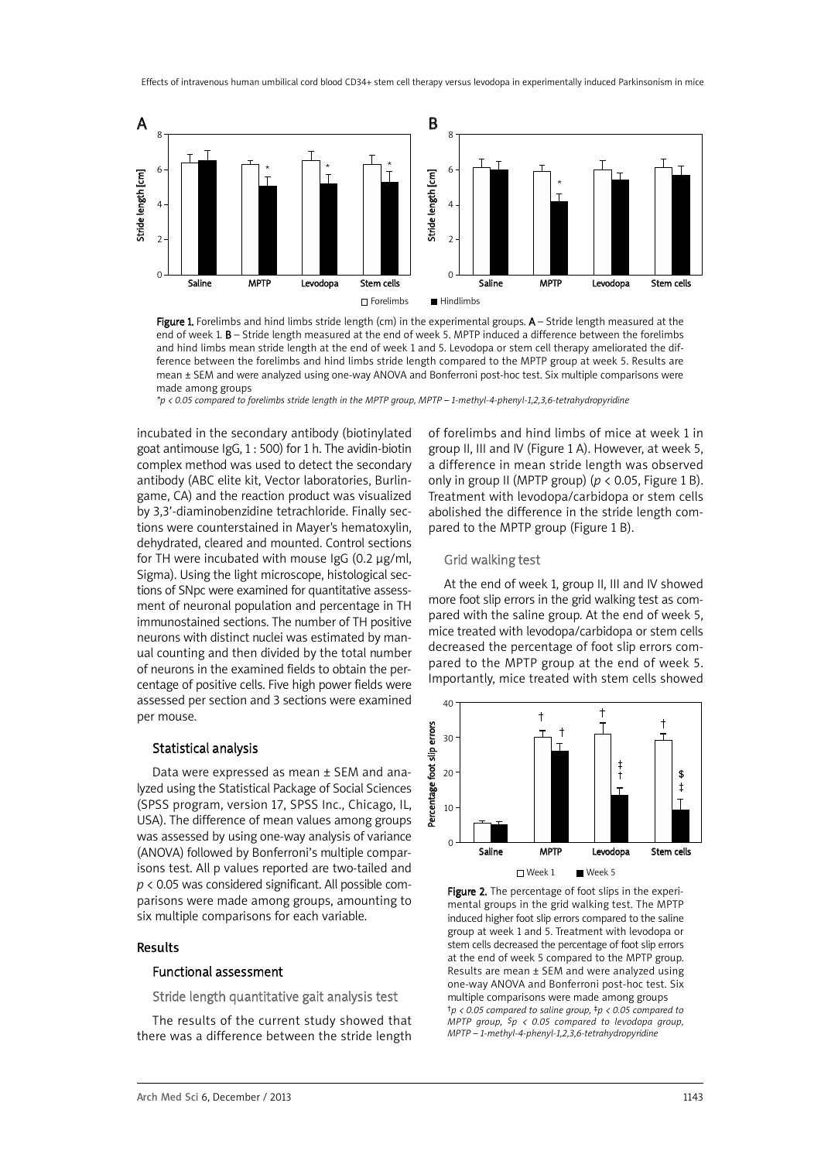

Figure 1. Forelimbs and hind limbs stride length (cm) in the experimental groups. A - Stride length measured at the end of week 1. B – Stride length measured at the end of week 5. MPTP induced a difference between the forelimbs and hind limbs mean stride length at the end of week 1 and 5. Levodopa or stem cell therapy ameliorated the difference between the forelimbs and hind limbs stride length compared to the MPTP group at week 5. Results are mean ± SEM and were analyzed using one-way ANOVA and Bonferroni post-hoc test. Six multiple comparisons were made among groups

*\*p < 0.05 compared to forelimbs stride length in the MPTP group, MPTP – 1-methyl-4-phenyl-1,2,3,6-tetrahydropyridine*

incubated in the secondary antibody (biotinylated goat antimouse IgG, 1 : 500) for 1 h. The avidin-biotin complex method was used to detect the secondary antibody (ABC elite kit, Vector laboratories, Burlingame, CA) and the reaction product was visualized by 3,3'-diaminobenzidine tetrachloride. Finally sections were counterstained in Mayer's hematoxylin, dehydrated, cleared and mounted. Control sections for TH were incubated with mouse IgG (0.2 µg/ml, Sigma). Using the light microscope, histological sections of SNpc were examined for quantitative assessment of neuronal population and percentage in TH immunostained sections. The number of TH positive neurons with distinct nuclei was estimated by manual counting and then divided by the total number of neurons in the examined fields to obtain the percentage of positive cells. Five high power fields were assessed per section and 3 sections were examined per mouse.

#### Statistical analysis

Data were expressed as mean ± SEM and analyzed using the Statistical Package of Social Sciences (SPSS program, version 17, SPSS Inc., Chicago, IL, USA). The difference of mean values among groups was assessed by using one-way analysis of variance (ANOVA) followed by Bonferroni's multiple comparisons test. All p values reported are two-tailed and *p* < 0.05 was considered significant. All possible comparisons were made among groups, amounting to six multiple comparisons for each variable.

#### Results

#### Functional assessment

Stride length quantitative gait analysis test

The results of the current study showed that there was a difference between the stride length of forelimbs and hind limbs of mice at week 1 in group II, III and IV (Figure 1 A). However, at week 5, a difference in mean stride length was observed only in group II (MPTP group) ( $p < 0.05$ , Figure 1 B). Treatment with levodopa/carbidopa or stem cells abolished the difference in the stride length compared to the MPTP group (Figure 1 B).

#### Grid walking test

At the end of week 1, group II, III and IV showed more foot slip errors in the grid walking test as compared with the saline group. At the end of week 5, mice treated with levodopa/carbidopa or stem cells decreased the percentage of foot slip errors compared to the MPTP group at the end of week 5. Importantly, mice treated with stem cells showed



Figure 2. The percentage of foot slips in the experimental groups in the grid walking test. The MPTP induced higher foot slip errors compared to the saline group at week 1 and 5. Treatment with levodopa or stem cells decreased the percentage of foot slip errors at the end of week 5 compared to the MPTP group. Results are mean ± SEM and were analyzed using one-way ANOVA and Bonferroni post-hoc test. Six multiple comparisons were made among groups *†p < 0.05 compared to saline group, ‡p < 0.05 compared to MPTP group, \$p < 0.05 compared to levodopa group, MPTP – 1-methyl-4-phenyl-1,2,3,6-tetrahydropyridine*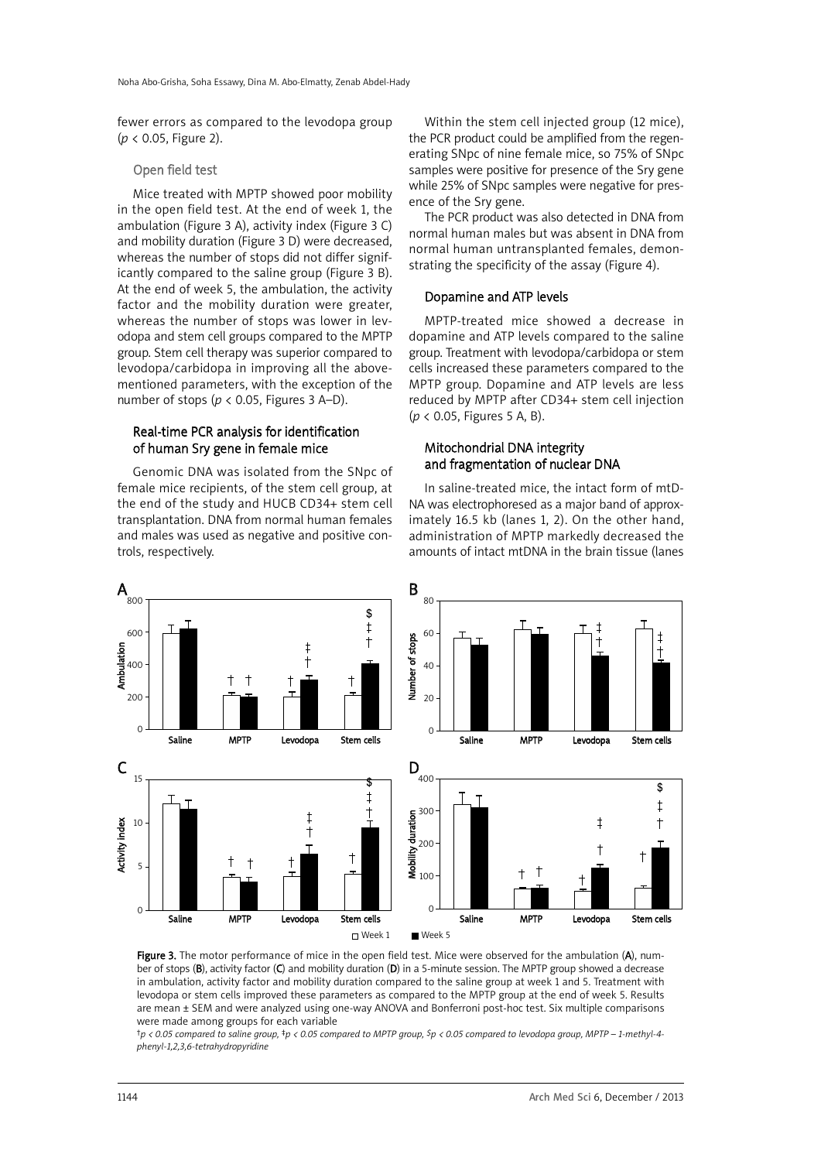fewer errors as compared to the levodopa group (*p* < 0.05, Figure 2).

#### Open field test

Mice treated with MPTP showed poor mobility in the open field test. At the end of week 1, the ambulation (Figure 3 A), activity index (Figure 3 C) and mobility duration (Figure 3 D) were decreased, whereas the number of stops did not differ significantly compared to the saline group (Figure 3 B). At the end of week 5, the ambulation, the activity factor and the mobility duration were greater, whereas the number of stops was lower in levodopa and stem cell groups compared to the MPTP group. Stem cell therapy was superior compared to levodopa/carbidopa in improving all the abovementioned parameters, with the exception of the number of stops ( $p < 0.05$ , Figures 3 A–D).

#### Real-time PCR analysis for identification of human Sry gene in female mice

Genomic DNA was isolated from the SNpc of female mice recipients, of the stem cell group, at the end of the study and HUCB CD34+ stem cell transplantation. DNA from normal human females and males was used as negative and positive controls, respectively.

Within the stem cell injected group (12 mice), the PCR product could be amplified from the regenerating SNpc of nine female mice, so 75% of SNpc samples were positive for presence of the Sry gene while 25% of SNpc samples were negative for presence of the Sry gene.

The PCR product was also detected in DNA from normal human males but was absent in DNA from normal human untransplanted females, demonstrating the specificity of the assay (Figure 4).

#### Dopamine and ATP levels

MPTP-treated mice showed a decrease in dopamine and ATP levels compared to the saline group. Treatment with levodopa/carbidopa or stem cells increased these parameters compared to the MPTP group. Dopamine and ATP levels are less reduced by MPTP after CD34+ stem cell injection (*p* < 0.05, Figures 5 A, B).

#### Mitochondrial DNA integrity and fragmentation of nuclear DNA

In saline-treated mice, the intact form of mtD-NA was electrophoresed as a major band of approximately 16.5 kb (lanes 1, 2). On the other hand, administration of MPTP markedly decreased the amounts of intact mtDNA in the brain tissue (lanes



Figure 3. The motor performance of mice in the open field test. Mice were observed for the ambulation (A), number of stops (B), activity factor (C) and mobility duration (D) in a 5-minute session. The MPTP group showed a decrease in ambulation, activity factor and mobility duration compared to the saline group at week 1 and 5. Treatment with levodopa or stem cells improved these parameters as compared to the MPTP group at the end of week 5. Results are mean ± SEM and were analyzed using one-way ANOVA and Bonferroni post-hoc test. Six multiple comparisons were made among groups for each variable

tp < 0.05 compared to saline group, +p < 0.05 compared to MPTP group, Sp < 0.05 compared to levodopa group, MPTP - 1-methyl-4*phenyl-1,2,3,6-tetrahydropyridine*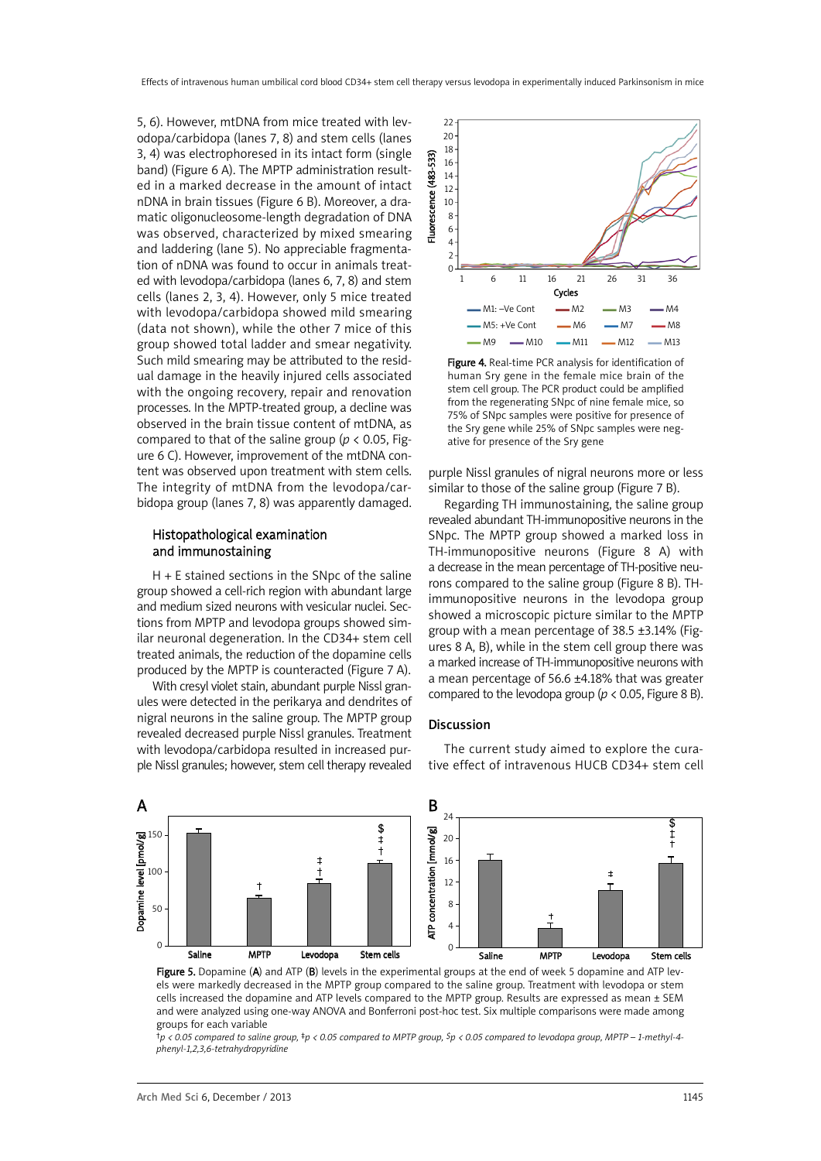5, 6). However, mtDNA from mice treated with levodopa/carbidopa (lanes 7, 8) and stem cells (lanes 3, 4) was electrophoresed in its intact form (single band) (Figure 6 A). The MPTP administration resulted in a marked decrease in the amount of intact nDNA in brain tissues (Figure 6 B). Moreover, a dramatic oligonucleosome-length degradation of DNA was observed, characterized by mixed smearing and laddering (lane 5). No appreciable fragmentation of nDNA was found to occur in animals treated with levodopa/carbidopa (lanes 6, 7, 8) and stem cells (lanes 2, 3, 4). However, only 5 mice treated with levodopa/carbidopa showed mild smearing (data not shown), while the other 7 mice of this group showed total ladder and smear negativity. Such mild smearing may be attributed to the residual damage in the heavily injured cells associated with the ongoing recovery, repair and renovation processes. In the MPTP-treated group, a decline was observed in the brain tissue content of mtDNA, as compared to that of the saline group ( $p < 0.05$ , Figure 6 C). However, improvement of the mtDNA content was observed upon treatment with stem cells. The integrity of mtDNA from the levodopa/carbidopa group (lanes 7, 8) was apparently damaged.

## Histopathological examination and immunostaining

H + E stained sections in the SNpc of the saline group showed a cell-rich region with abundant large and medium sized neurons with vesicular nuclei. Sections from MPTP and levodopa groups showed similar neuronal degeneration. In the CD34+ stem cell treated animals, the reduction of the dopamine cells produced by the MPTP is counteracted (Figure 7 A).

With cresyl violet stain, abundant purple Nissl granules were detected in the perikarya and dendrites of nigral neurons in the saline group. The MPTP group revealed decreased purple Nissl granules. Treatment with levodopa/carbidopa resulted in increased purple Nissl granules; however, stem cell therapy revealed



Figure 4. Real-time PCR analysis for identification of human Sry gene in the female mice brain of the stem cell group. The PCR product could be amplified from the regenerating SNpc of nine female mice, so 75% of SNpc samples were positive for presence of the Sry gene while 25% of SNpc samples were negative for presence of the Sry gene

purple Nissl granules of nigral neurons more or less similar to those of the saline group (Figure 7 B).

Regarding TH immunostaining, the saline group revealed abundant TH-immunopositive neurons in the SNpc. The MPTP group showed a marked loss in TH-immunopositive neurons (Figure 8 A) with a decrease in the mean percentage of TH-positive neurons compared to the saline group (Figure 8 B). THimmunopositive neurons in the levodopa group showed a microscopic picture similar to the MPTP group with a mean percentage of 38.5 ±3.14% (Figures 8 A, B), while in the stem cell group there was a marked increase of TH-immunopositive neurons with a mean percentage of 56.6 ±4.18% that was greater compared to the levodopa group ( $p < 0.05$ , Figure 8 B).

#### Discussion

The current study aimed to explore the curative effect of intravenous HUCB CD34+ stem cell



Figure 5. Dopamine (A) and ATP (B) levels in the experimental groups at the end of week 5 dopamine and ATP levels were markedly decreased in the MPTP group compared to the saline group. Treatment with levodopa or stem cells increased the dopamine and ATP levels compared to the MPTP group. Results are expressed as mean ± SEM and were analyzed using one-way ANOVA and Bonferroni post-hoc test. Six multiple comparisons were made among groups for each variable

 $tp$  < 0.05 compared to saline group,  $tp$  < 0.05 compared to MPTP group,  $Sp$  < 0.05 compared to levodopa group, MPTP – 1-methyl-4*phenyl-1,2,3,6-tetrahydropyridine*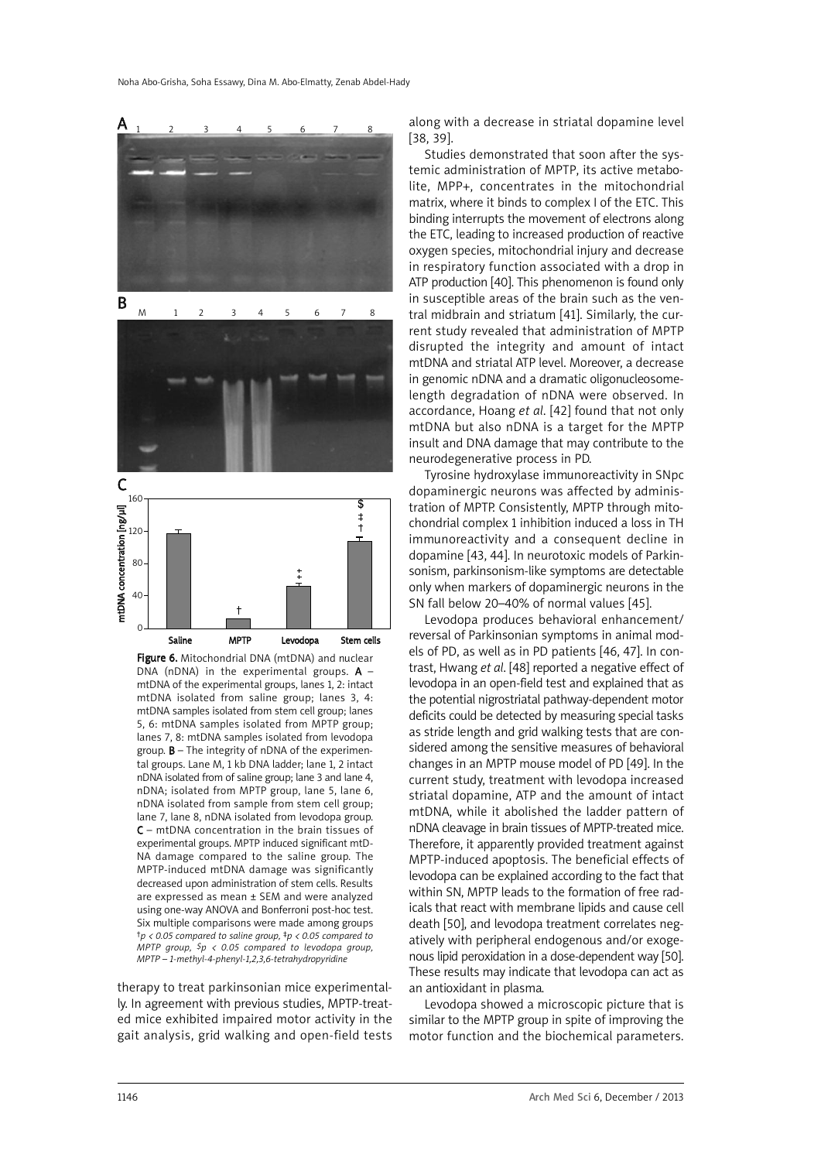

Figure 6. Mitochondrial DNA (mtDNA) and nuclear DNA (nDNA) in the experimental groups.  $A$ mtDNA of the experimental groups, lanes 1, 2: intact mtDNA isolated from saline group; lanes 3, 4: mtDNA samples isolated from stem cell group; lanes 5, 6: mtDNA samples isolated from MPTP group; lanes 7, 8: mtDNA samples isolated from levodopa group.  $B -$  The integrity of nDNA of the experimental groups. Lane M, 1 kb DNA ladder; lane 1, 2 intact nDNA isolated from of saline group; lane 3 and lane 4, nDNA; isolated from MPTP group, lane 5, lane 6, nDNA isolated from sample from stem cell group; lane 7, lane 8, nDNA isolated from levodopa group. C – mtDNA concentration in the brain tissues of experimental groups. MPTP induced significant mtD-NA damage compared to the saline group. The MPTP-induced mtDNA damage was significantly decreased upon administration of stem cells. Results are expressed as mean ± SEM and were analyzed using one-way ANOVA and Bonferroni post-hoc test. Six multiple comparisons were made among groups *†p < 0.05 compared to saline group, ‡p < 0.05 compared to MPTP group, \$p < 0.05 compared to levodopa group, MPTP – 1-methyl-4-phenyl-1,2,3,6-tetrahydropyridine*

therapy to treat parkinsonian mice experimentally. In agreement with previous studies, MPTP-treated mice exhibited impaired motor activity in the gait analysis, grid walking and open-field tests along with a decrease in striatal dopamine level [38, 39].

Studies demonstrated that soon after the systemic administration of MPTP, its active metabolite, MPP+, concentrates in the mitochondrial matrix, where it binds to complex I of the ETC. This binding interrupts the movement of electrons along the ETC, leading to increased production of reactive oxygen species, mitochondrial injury and decrease in respiratory function associated with a drop in ATP production [40]. This phenomenon is found only in susceptible areas of the brain such as the ventral midbrain and striatum [41]. Similarly, the current study revealed that administration of MPTP disrupted the integrity and amount of intact mtDNA and striatal ATP level. Moreover, a decrease in genomic nDNA and a dramatic oligonucleosomelength degradation of nDNA were observed. In accordance, Hoang *et al*. [42] found that not only mtDNA but also nDNA is a target for the MPTP insult and DNA damage that may contribute to the neurodegenerative process in PD.

Tyrosine hydroxylase immunoreactivity in SNpc dopaminergic neurons was affected by administration of MPTP. Consistently, MPTP through mitochondrial complex 1 inhibition induced a loss in TH immunoreactivity and a consequent decline in dopamine [43, 44]. In neurotoxic models of Parkinsonism, parkinsonism-like symptoms are detectable only when markers of dopaminergic neurons in the SN fall below 20–40% of normal values [45].

Levodopa produces behavioral enhancement/ reversal of Parkinsonian symptoms in animal models of PD, as well as in PD patients [46, 47]. In contrast, Hwang *et al*. [48] reported a negative effect of levodopa in an open-field test and explained that as the potential nigrostriatal pathway-dependent motor deficits could be detected by measuring special tasks as stride length and grid walking tests that are considered among the sensitive measures of behavioral changes in an MPTP mouse model of PD [49]. In the current study, treatment with levodopa increased striatal dopamine, ATP and the amount of intact mtDNA, while it abolished the ladder pattern of nDNA cleavage in brain tissues of MPTP-treated mice. Therefore, it apparently provided treatment against MPTP-induced apoptosis. The beneficial effects of levodopa can be explained according to the fact that within SN, MPTP leads to the formation of free radicals that react with membrane lipids and cause cell death [50], and levodopa treatment correlates negatively with peripheral endogenous and/or exogenous lipid peroxidation in a dose-dependent way [50]. These results may indicate that levodopa can act as an antioxidant in plasma.

Levodopa showed a microscopic picture that is similar to the MPTP group in spite of improving the motor function and the biochemical parameters.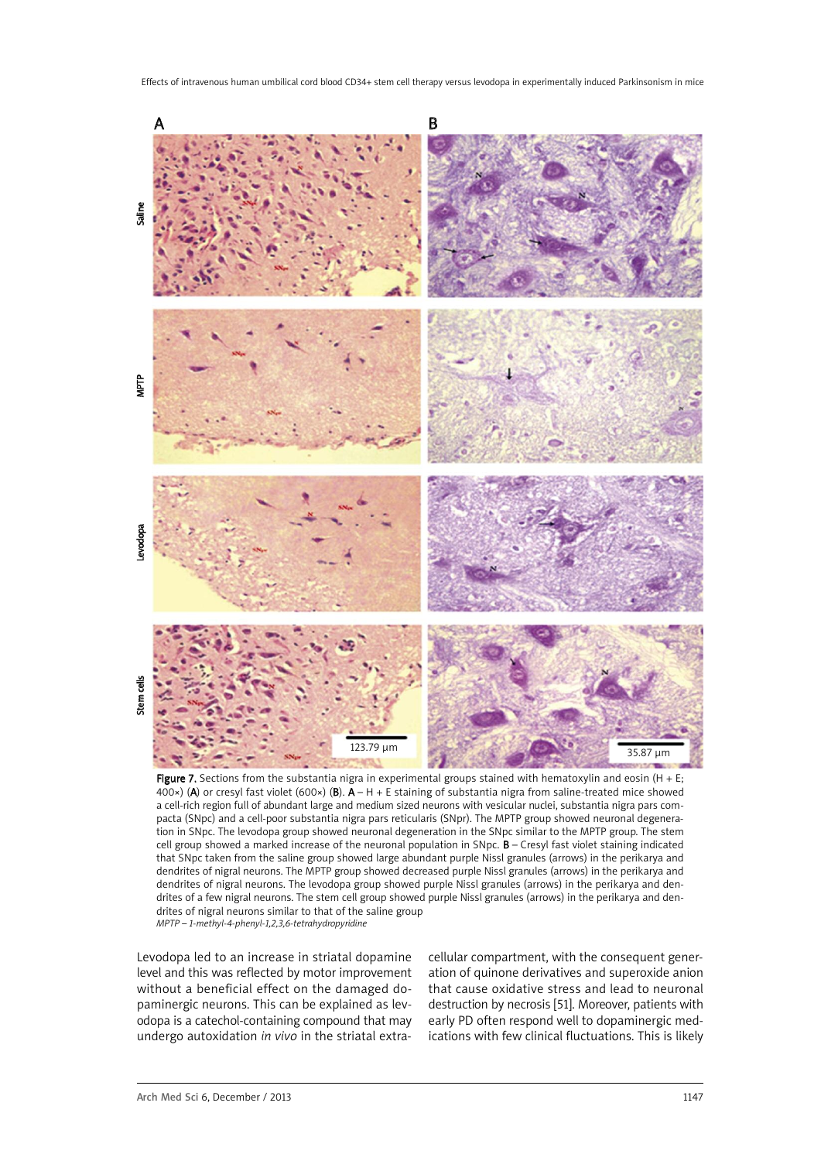

Figure 7. Sections from the substantia nigra in experimental groups stained with hematoxylin and eosin (H + E; 400×) (A) or cresyl fast violet (600×) (B).  $A - H + E$  staining of substantia nigra from saline-treated mice showed a cell-rich region full of abundant large and medium sized neurons with vesicular nuclei, substantia nigra pars compacta (SNpc) and a cell-poor substantia nigra pars reticularis (SNpr). The MPTP group showed neuronal degeneration in SNpc. The levodopa group showed neuronal degeneration in the SNpc similar to the MPTP group. The stem cell group showed a marked increase of the neuronal population in SNpc. B – Cresyl fast violet staining indicated that SNpc taken from the saline group showed large abundant purple Nissl granules (arrows) in the perikarya and dendrites of nigral neurons. The MPTP group showed decreased purple Nissl granules (arrows) in the perikarya and dendrites of nigral neurons. The levodopa group showed purple Nissl granules (arrows) in the perikarya and dendrites of a few nigral neurons. The stem cell group showed purple Nissl granules (arrows) in the perikarya and dendrites of nigral neurons similar to that of the saline group *MPTP – 1-methyl-4-phenyl-1,2,3,6-tetrahydropyridine*

Levodopa led to an increase in striatal dopamine level and this was reflected by motor improvement without a beneficial effect on the damaged dopaminergic neurons. This can be explained as levodopa is a catechol-containing compound that may undergo autoxidation *in vivo* in the striatal extracellular compartment, with the consequent generation of quinone derivatives and superoxide anion that cause oxidative stress and lead to neuronal destruction by necrosis [51]. Moreover, patients with early PD often respond well to dopaminergic medications with few clinical fluctuations. This is likely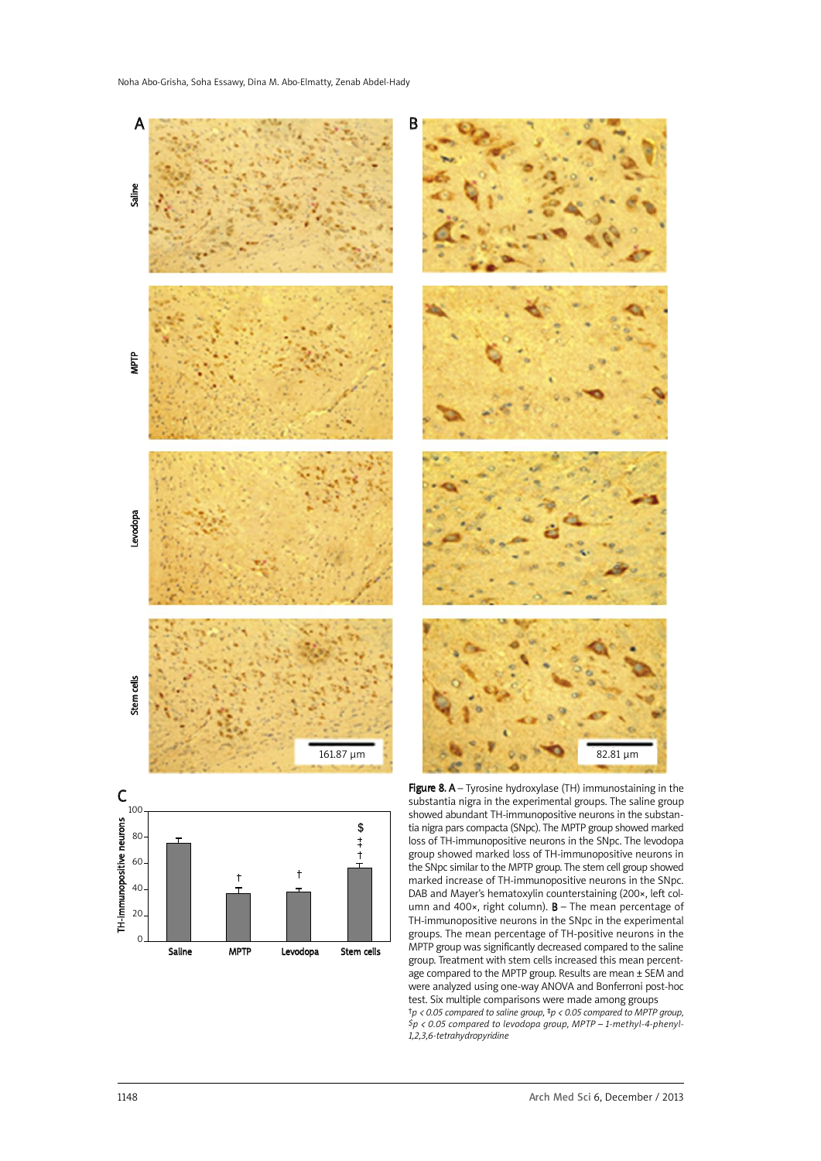

tia nigra pars compacta (SNpc). The MPTP group showed marked loss of TH-immunopositive neurons in the SNpc. The levodopa group showed marked loss of TH-immunopositive neurons in the SNpc similar to the MPTP group. The stem cell group showed marked increase of TH-immunopositive neurons in the SNpc. DAB and Mayer's hematoxylin counterstaining (200×, left column and 400 $\times$ , right column). **B** – The mean percentage of TH-immunopositive neurons in the SNpc in the experimental groups. The mean percentage of TH-positive neurons in the MPTP group was significantly decreased compared to the saline group. Treatment with stem cells increased this mean percentage compared to the MPTP group. Results are mean ± SEM and were analyzed using one-way ANOVA and Bonferroni post-hoc test. Six multiple comparisons were made among groups *†p < 0.05 compared to saline group, ‡p < 0.05 compared to MPTP group, \$p < 0.05 compared to levodopa group, MPTP – 1-methyl-4-phenyl-1,2,3,6-tetrahydropyridine*

40 20  $\Omega$ 

Saline MPTP Levodopa Stem cells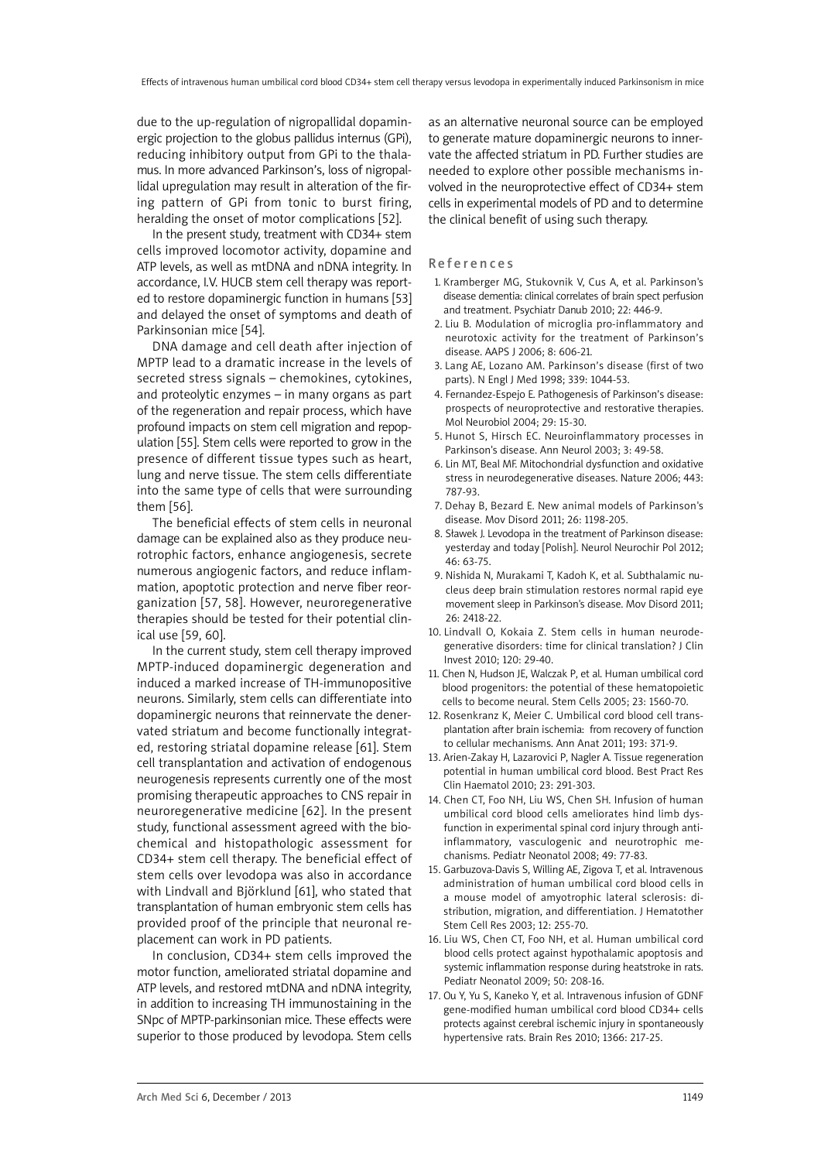due to the up-regulation of nigropallidal dopaminergic projection to the globus pallidus internus (GPi), reducing inhibitory output from GPi to the thalamus. In more advanced Parkinson's, loss of nigropallidal upregulation may result in alteration of the firing pattern of GPi from tonic to burst firing, heralding the onset of motor complications [52].

In the present study, treatment with CD34+ stem cells improved locomotor activity, dopamine and ATP levels, as well as mtDNA and nDNA integrity. In accordance, I.V. HUCB stem cell therapy was reported to restore dopaminergic function in humans [53] and delayed the onset of symptoms and death of Parkinsonian mice [54].

DNA damage and cell death after injection of MPTP lead to a dramatic increase in the levels of secreted stress signals – chemokines, cytokines, and proteolytic enzymes – in many organs as part of the regeneration and repair process, which have profound impacts on stem cell migration and repopulation [55]. Stem cells were reported to grow in the presence of different tissue types such as heart, lung and nerve tissue. The stem cells differentiate into the same type of cells that were surrounding them [56].

The beneficial effects of stem cells in neuronal damage can be explained also as they produce neurotrophic factors, enhance angiogenesis, secrete numerous angiogenic factors, and reduce inflammation, apoptotic protection and nerve fiber reorganization [57, 58]. However, neuroregenerative therapies should be tested for their potential clinical use [59, 60].

In the current study, stem cell therapy improved MPTP-induced dopaminergic degeneration and induced a marked increase of TH-immunopositive neurons. Similarly, stem cells can differentiate into dopaminergic neurons that reinnervate the denervated striatum and become functionally integrated, restoring striatal dopamine release [61]. Stem cell transplantation and activation of endogenous neurogenesis represents currently one of the most promising therapeutic approaches to CNS repair in neuroregenerative medicine [62]. In the present study, functional assessment agreed with the biochemical and histopathologic assessment for CD34+ stem cell therapy. The beneficial effect of stem cells over levodopa was also in accordance with Lindvall and Björklund [61], who stated that transplantation of human embryonic stem cells has provided proof of the principle that neuronal replacement can work in PD patients.

In conclusion, CD34+ stem cells improved the motor function, ameliorated striatal dopamine and ATP levels, and restored mtDNA and nDNA integrity, in addition to increasing TH immunostaining in the SNpc of MPTP-parkinsonian mice. These effects were superior to those produced by levodopa. Stem cells

as an alternative neuronal source can be employed to generate mature dopaminergic neurons to innervate the affected striatum in PD. Further studies are needed to explore other possible mechanisms involved in the neuroprotective effect of CD34+ stem cells in experimental models of PD and to determine the clinical benefit of using such therapy.

#### **References**

- 1. Kramberger MG, Stukovnik V, Cus A, et al. Parkinson's disease dementia: clinical correlates of brain spect perfusion and treatment. Psychiatr Danub 2010; 22: 446-9.
- 2. Liu B. Modulation of microglia pro-inflammatory and neurotoxic activity for the treatment of Parkinson's disease. AAPS J 2006; 8: 606-21.
- 3. Lang AE, Lozano AM. Parkinson's disease (first of two parts). N Engl J Med 1998; 339: 1044-53.
- 4. Fernandez-Espejo E. Pathogenesis of Parkinson's disease: prospects of neuroprotective and restorative therapies. Mol Neurobiol 2004; 29: 15-30.
- 5. Hunot S, Hirsch EC. Neuroinflammatory processes in Parkinson's disease. Ann Neurol 2003; 3: 49-58.
- 6. Lin MT, Beal MF. Mitochondrial dysfunction and oxidative stress in neurodegenerative diseases. Nature 2006; 443: 787-93.
- 7. Dehay B, Bezard E. New animal models of Parkinson's disease. Mov Disord 2011; 26: 1198-205.
- 8. Sławek J. Levodopa in the treatment of Parkinson disease: yesterday and today [Polish]. Neurol Neurochir Pol 2012; 46: 63-75.
- 9. Nishida N, Murakami T, Kadoh K, et al. Subthalamic nucleus deep brain stimulation restores normal rapid eye movement sleep in Parkinson's disease. Mov Disord 2011; 26: 2418-22.
- 10. Lindvall O, Kokaia Z. Stem cells in human neurodegenerative disorders: time for clinical translation? J Clin Invest 2010; 120: 29-40.
- 11. Chen N, Hudson JE, Walczak P, et al. Human umbilical cord blood progenitors: the potential of these hematopoietic cells to become neural. Stem Cells 2005; 23: 1560-70.
- 12. Rosenkranz K, Meier C. Umbilical cord blood cell transplantation after brain ischemia: from recovery of function to cellular mechanisms. Ann Anat 2011; 193: 371-9.
- 13. Arien-Zakay H, Lazarovici P, Nagler A. Tissue regeneration potential in human umbilical cord blood. Best Pract Res Clin Haematol 2010; 23: 291-303.
- 14. Chen CT, Foo NH, Liu WS, Chen SH. Infusion of human umbilical cord blood cells ameliorates hind limb dysfunction in experimental spinal cord injury through antiinflammatory, vasculogenic and neurotrophic mechanisms. Pediatr Neonatol 2008; 49: 77-83.
- 15. Garbuzova-Davis S, Willing AE, Zigova T, et al. Intravenous administration of human umbilical cord blood cells in a mouse model of amyotrophic lateral sclerosis: distribution, migration, and differentiation. J Hematother Stem Cell Res 2003; 12: 255-70.
- 16. Liu WS, Chen CT, Foo NH, et al. Human umbilical cord blood cells protect against hypothalamic apoptosis and systemic inflammation response during heatstroke in rats. Pediatr Neonatol 2009; 50: 208-16.
- 17. Ou Y, Yu S, Kaneko Y, et al. Intravenous infusion of GDNF gene-modified human umbilical cord blood CD34+ cells protects against cerebral ischemic injury in spontaneously hypertensive rats. Brain Res 2010; 1366: 217-25.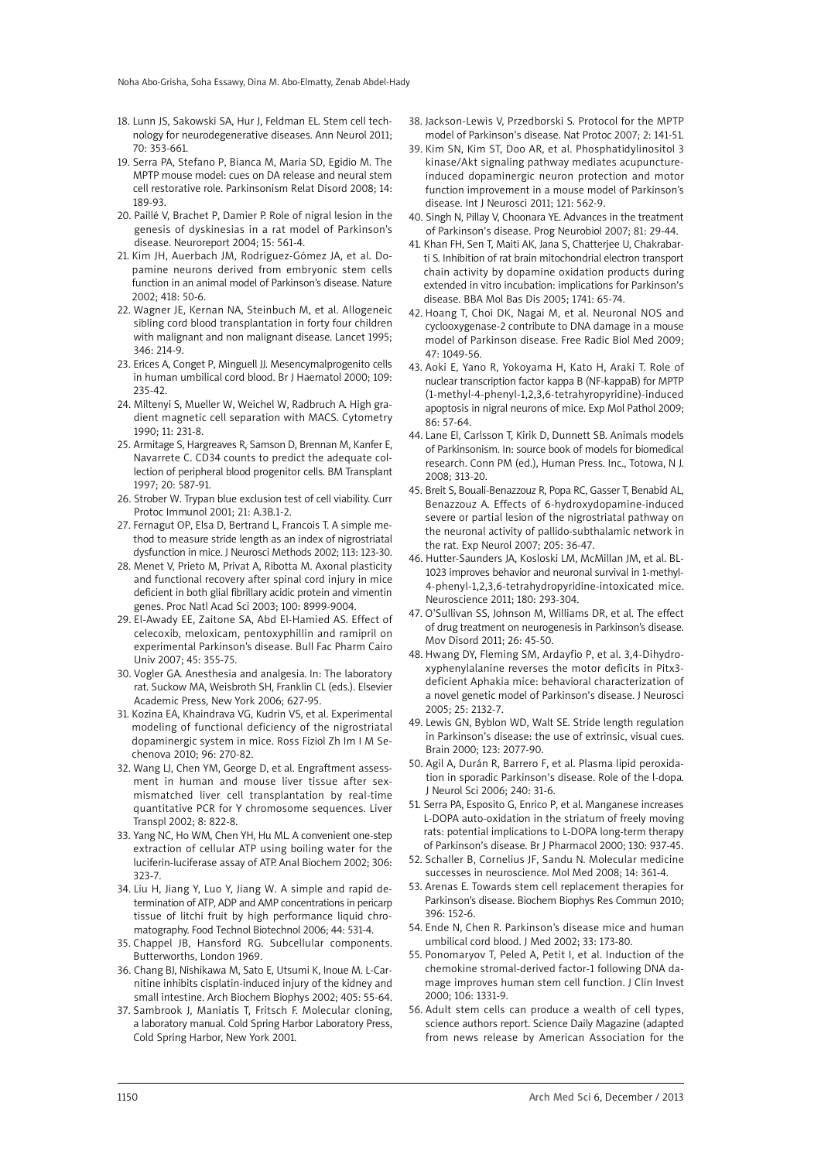- 18. Lunn JS, Sakowski SA, Hur J, Feldman EL. Stem cell technology for neurodegenerative diseases. Ann Neurol 2011; 70: 353-661.
- 19. Serra PA, Stefano P, Bianca M, Maria SD, Egidio M. The MPTP mouse model: cues on DA release and neural stem cell restorative role. Parkinsonism Relat Disord 2008; 14: 189-93.
- 20. Paillé V, Brachet P, Damier P. Role of nigral lesion in the genesis of dyskinesias in a rat model of Parkinson's disease. Neuroreport 2004; 15: 561-4.
- 21. Kim JH, Auerbach JM, Rodríguez-Gómez JA, et al. Dopamine neurons derived from embryonic stem cells function in an animal model of Parkinson's disease. Nature 2002; 418: 50-6.
- 22. Wagner JE, Kernan NA, Steinbuch M, et al. Allogeneic sibling cord blood transplantation in forty four children with malignant and non malignant disease. Lancet 1995; 346: 214-9.
- 23. Erices A, Conget P, Minguell JJ. Mesencymalprogenito cells in human umbilical cord blood. Br J Haematol 2000; 109: 235-42.
- 24. Miltenyi S, Mueller W, Weichel W, Radbruch A. High gradient magnetic cell separation with MACS. Cytometry 1990; 11: 231-8.
- 25. Armitage S, Hargreaves R, Samson D, Brennan M, Kanfer E, Navarrete C. CD34 counts to predict the adequate collection of peripheral blood progenitor cells. BM Transplant 1997; 20: 587-91.
- 26. Strober W. Trypan blue exclusion test of cell viability. Curr Protoc Immunol 2001; 21: A.3B.1-2.
- 27. Fernagut OP, Elsa D, Bertrand L, Francois T. A simple method to measure stride length as an index of nigrostriatal dysfunction in mice. J Neurosci Methods 2002; 113: 123-30.
- 28. Menet V, Prieto M, Privat A, Ribotta M. Axonal plasticity and functional recovery after spinal cord injury in mice deficient in both glial fibrillary acidic protein and vimentin genes. Proc Natl Acad Sci 2003; 100: 8999-9004.
- 29. El-Awady EE, Zaitone SA, Abd El-Hamied AS. Effect of celecoxib, meloxicam, pentoxyphillin and ramipril on experimental Parkinson's disease. Bull Fac Pharm Cairo Univ 2007; 45: 355-75.
- 30. Vogler GA. Anesthesia and analgesia. In: The laboratory rat. Suckow MA, Weisbroth SH, Franklin CL (eds.). Elsevier Academic Press, New York 2006; 627-95.
- 31. Kozina EA, Khaindrava VG, Kudrin VS, et al. Experimental modeling of functional deficiency of the nigrostriatal dopaminergic system in mice. Ross Fiziol Zh Im I M Sechenova 2010; 96: 270-82.
- 32. Wang LJ, Chen YM, George D, et al. Engraftment assessment in human and mouse liver tissue after sexmismatched liver cell transplantation by real-time quantitative PCR for Y chromosome sequences. Liver Transpl 2002; 8: 822-8.
- 33. Yang NC, Ho WM, Chen YH, Hu ML. A convenient one-step extraction of cellular ATP using boiling water for the luciferin-luciferase assay of ATP. Anal Biochem 2002; 306: 323-7.
- 34. Liu H, Jiang Y, Luo Y, Jiang W. A simple and rapid determination of ATP, ADP and AMP concentrations in pericarp tissue of litchi fruit by high performance liquid chromatography. Food Technol Biotechnol 2006; 44: 531-4.
- 35. Chappel JB, Hansford RG. Subcellular components. Butterworths, London 1969.
- 36. Chang BJ, Nishikawa M, Sato E, Utsumi K, Inoue M. L-Carnitine inhibits cisplatin-induced injury of the kidney and small intestine. Arch Biochem Biophys 2002; 405: 55-64.
- 37. Sambrook J, Maniatis T, Fritsch F. Molecular cloning, a laboratory manual. Cold Spring Harbor Laboratory Press, Cold Spring Harbor, New York 2001.
- 38. Jackson-Lewis V, Przedborski S. Protocol for the MPTP model of Parkinson's disease. Nat Protoc 2007; 2: 141-51.
- 39. Kim SN, Kim ST, Doo AR, et al. Phosphatidylinositol 3 kinase/Akt signaling pathway mediates acupunctureinduced dopaminergic neuron protection and motor function improvement in a mouse model of Parkinson's disease. Int J Neurosci 2011; 121: 562-9.
- 40. Singh N, Pillay V, Choonara YE. Advances in the treatment of Parkinson's disease. Prog Neurobiol 2007; 81: 29-44.
- 41. Khan FH, Sen T, Maiti AK, Jana S, Chatterjee U, Chakrabarti S. Inhibition of rat brain mitochondrial electron transport chain activity by dopamine oxidation products during extended in vitro incubation: implications for Parkinson's disease. BBA Mol Bas Dis 2005; 1741: 65-74.
- 42. Hoang T, Choi DK, Nagai M, et al. Neuronal NOS and cyclooxygenase-2 contribute to DNA damage in a mouse model of Parkinson disease. Free Radic Biol Med 2009; 47: 1049-56.
- 43. Aoki E, Yano R, Yokoyama H, Kato H, Araki T. Role of nuclear transcription factor kappa B (NF-kappaB) for MPTP (1-methyl-4-phenyl-1,2,3,6-tetrahyropyridine)-induced apoptosis in nigral neurons of mice. Exp Mol Pathol 2009; 86: 57-64.
- 44. Lane El, Carlsson T, Kirik D, Dunnett SB. Animals models of Parkinsonism. In: source book of models for biomedical research. Conn PM (ed.), Human Press. Inc., Totowa, N J. 2008; 313-20.
- 45. Breit S, Bouali-Benazzouz R, Popa RC, Gasser T, Benabid AL, Benazzouz A. Effects of 6-hydroxydopamine-induced severe or partial lesion of the nigrostriatal pathway on the neuronal activity of pallido-subthalamic network in the rat. Exp Neurol 2007; 205: 36-47.
- 46. Hutter-Saunders JA, Kosloski LM, McMillan JM, et al. BL-1023 improves behavior and neuronal survival in 1-methyl-4-phenyl-1,2,3,6-tetrahydropyridine-intoxicated mice. Neuroscience 2011; 180: 293-304.
- 47. O'Sullivan SS, Johnson M, Williams DR, et al. The effect of drug treatment on neurogenesis in Parkinson's disease. Mov Disord 2011; 26: 45-50.
- 48. Hwang DY, Fleming SM, Ardayfio P, et al. 3,4-Dihydroxyphenylalanine reverses the motor deficits in Pitx3 deficient Aphakia mice: behavioral characterization of a novel genetic model of Parkinson's disease. J Neurosci 2005; 25: 2132-7.
- 49. Lewis GN, Byblon WD, Walt SE. Stride length regulation in Parkinson's disease: the use of extrinsic, visual cues. Brain 2000; 123: 2077-90.
- 50. Agil A, Durán R, Barrero F, et al. Plasma lipid peroxidation in sporadic Parkinson's disease. Role of the l-dopa. J Neurol Sci 2006; 240: 31-6.
- 51. Serra PA, Esposito G, Enrico P, et al. Manganese increases L-DOPA auto-oxidation in the striatum of freely moving rats: potential implications to L-DOPA long-term therapy of Parkinson's disease. Br J Pharmacol 2000; 130: 937-45.
- 52. Schaller B, Cornelius JF, Sandu N. Molecular medicine successes in neuroscience. Mol Med 2008; 14: 361-4.
- 53. Arenas E. Towards stem cell replacement therapies for Parkinson's disease. Biochem Biophys Res Commun 2010; 396: 152-6.
- 54. Ende N, Chen R. Parkinson's disease mice and human umbilical cord blood. J Med 2002; 33: 173-80.
- 55. Ponomaryov T, Peled A, Petit I, et al. Induction of the chemokine stromal-derived factor-1 following DNA damage improves human stem cell function. J Clin Invest 2000; 106: 1331-9.
- 56. Adult stem cells can produce a wealth of cell types, science authors report. Science Daily Magazine (adapted from news release by American Association for the